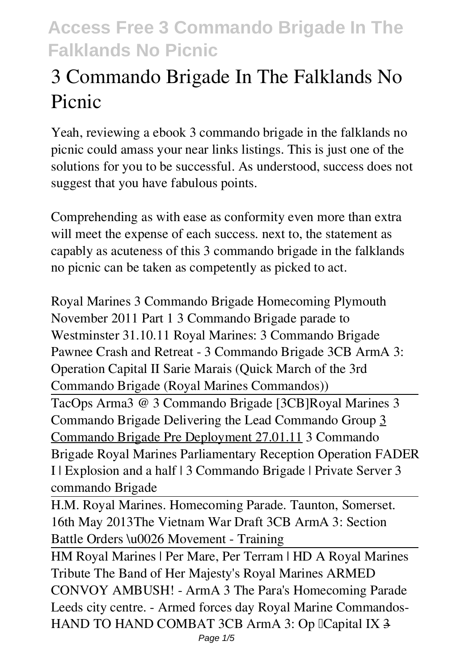# **3 Commando Brigade In The Falklands No Picnic**

Yeah, reviewing a ebook **3 commando brigade in the falklands no picnic** could amass your near links listings. This is just one of the solutions for you to be successful. As understood, success does not suggest that you have fabulous points.

Comprehending as with ease as conformity even more than extra will meet the expense of each success, next to, the statement as capably as acuteness of this 3 commando brigade in the falklands no picnic can be taken as competently as picked to act.

Royal Marines 3 Commando Brigade Homecoming Plymouth November 2011 Part 1 3 Commando Brigade parade to Westminster 31.10.11 *Royal Marines: 3 Commando Brigade* Pawnee Crash and Retreat - 3 Commando Brigade *3CB ArmA 3: Operation Capital II Sarie Marais (Quick March of the 3rd Commando Brigade (Royal Marines Commandos))* TacOps Arma3 @ 3 Commando Brigade [3CB]**Royal Marines 3 Commando Brigade Delivering the Lead Commando Group** 3 Commando Brigade Pre Deployment 27.01.11 *3 Commando Brigade Royal Marines Parliamentary Reception* Operation FADER I | Explosion and a half | 3 Commando Brigade | Private Server 3 commando Brigade

H.M. Royal Marines. Homecoming Parade. Taunton, Somerset. 16th May 2013*The Vietnam War Draft 3CB ArmA 3: Section Battle Orders \u0026 Movement - Training*

HM Royal Marines | Per Mare, Per Terram | HD A Royal Marines Tribute The Band of Her Majesty's Royal Marines *ARMED CONVOY AMBUSH! - ArmA 3 The Para's Homecoming Parade Leeds city centre. - Armed forces day* Royal Marine Commandos-HAND TO HAND COMBAT 3CB ArmA 3: Op ICapital IX 3 Page 1/5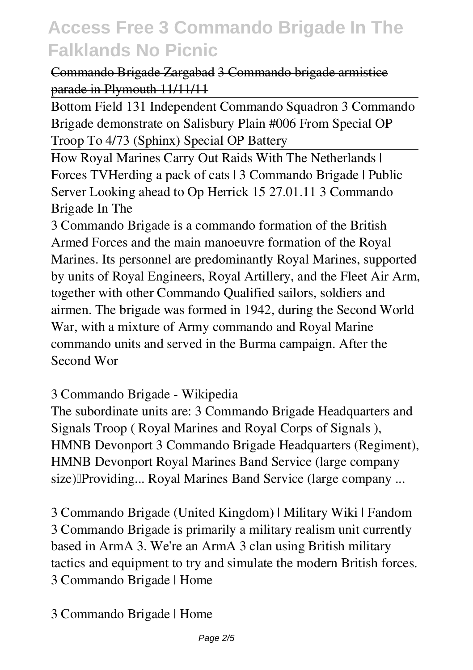#### Commando Brigade Zargabad 3 Commando brigade armistice parade in Plymouth 11/11/11

Bottom Field 131 Independent Commando Squadron 3 Commando Brigade demonstrate on Salisbury Plain *#006 From Special OP Troop To 4/73 (Sphinx) Special OP Battery*

How Royal Marines Carry Out Raids With The Netherlands | Forces TV*Herding a pack of cats | 3 Commando Brigade | Public Server Looking ahead to Op Herrick 15 27.01.11* **3 Commando Brigade In The**

3 Commando Brigade is a commando formation of the British Armed Forces and the main manoeuvre formation of the Royal Marines. Its personnel are predominantly Royal Marines, supported by units of Royal Engineers, Royal Artillery, and the Fleet Air Arm, together with other Commando Qualified sailors, soldiers and airmen. The brigade was formed in 1942, during the Second World War, with a mixture of Army commando and Royal Marine commando units and served in the Burma campaign. After the Second Wor

#### **3 Commando Brigade - Wikipedia**

The subordinate units are: 3 Commando Brigade Headquarters and Signals Troop ( Royal Marines and Royal Corps of Signals ), HMNB Devonport 3 Commando Brigade Headquarters (Regiment), HMNB Devonport Royal Marines Band Service (large company size) Providing... Royal Marines Band Service (large company ...

**3 Commando Brigade (United Kingdom) | Military Wiki | Fandom** 3 Commando Brigade is primarily a military realism unit currently based in ArmA 3. We're an ArmA 3 clan using British military tactics and equipment to try and simulate the modern British forces. 3 Commando Brigade | Home

**3 Commando Brigade | Home**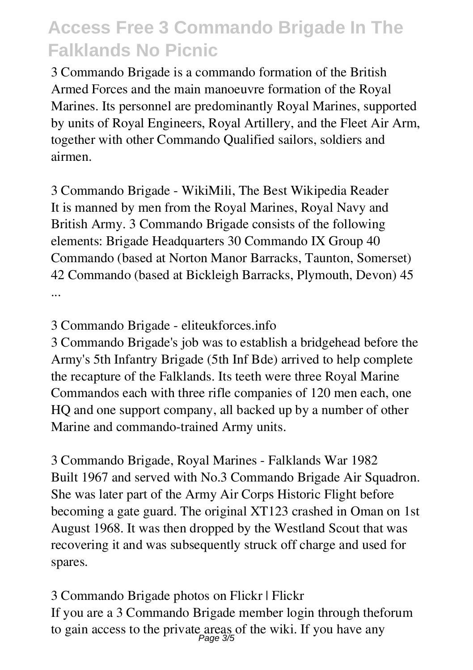3 Commando Brigade is a commando formation of the British Armed Forces and the main manoeuvre formation of the Royal Marines. Its personnel are predominantly Royal Marines, supported by units of Royal Engineers, Royal Artillery, and the Fleet Air Arm, together with other Commando Qualified sailors, soldiers and airmen.

**3 Commando Brigade - WikiMili, The Best Wikipedia Reader** It is manned by men from the Royal Marines, Royal Navy and British Army. 3 Commando Brigade consists of the following elements: Brigade Headquarters 30 Commando IX Group 40 Commando (based at Norton Manor Barracks, Taunton, Somerset) 42 Commando (based at Bickleigh Barracks, Plymouth, Devon) 45 ...

**3 Commando Brigade - eliteukforces.info**

3 Commando Brigade's job was to establish a bridgehead before the Army's 5th Infantry Brigade (5th Inf Bde) arrived to help complete the recapture of the Falklands. Its teeth were three Royal Marine Commandos each with three rifle companies of 120 men each, one HQ and one support company, all backed up by a number of other Marine and commando-trained Army units.

**3 Commando Brigade, Royal Marines - Falklands War 1982** Built 1967 and served with No.3 Commando Brigade Air Squadron. She was later part of the Army Air Corps Historic Flight before becoming a gate guard. The original XT123 crashed in Oman on 1st August 1968. It was then dropped by the Westland Scout that was recovering it and was subsequently struck off charge and used for spares.

**3 Commando Brigade photos on Flickr | Flickr** If you are a 3 Commando Brigade member login through theforum to gain access to the private areas of the wiki. If you have any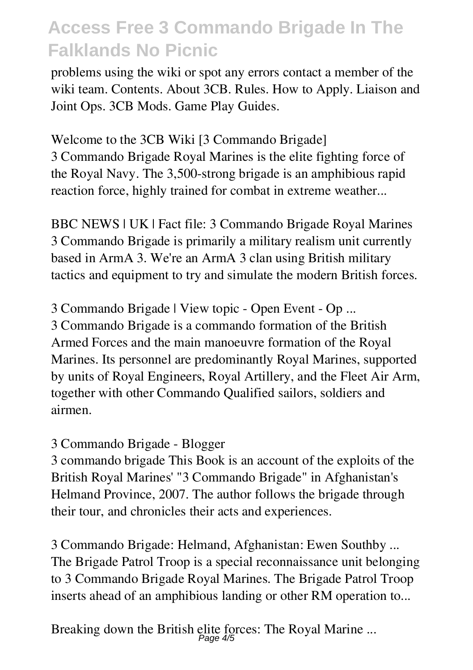problems using the wiki or spot any errors contact a member of the wiki team. Contents. About 3CB. Rules. How to Apply. Liaison and Joint Ops. 3CB Mods. Game Play Guides.

**Welcome to the 3CB Wiki [3 Commando Brigade]** 3 Commando Brigade Royal Marines is the elite fighting force of the Royal Navy. The 3,500-strong brigade is an amphibious rapid reaction force, highly trained for combat in extreme weather...

**BBC NEWS | UK | Fact file: 3 Commando Brigade Royal Marines** 3 Commando Brigade is primarily a military realism unit currently based in ArmA 3. We're an ArmA 3 clan using British military tactics and equipment to try and simulate the modern British forces.

**3 Commando Brigade | View topic - Open Event - Op ...** 3 Commando Brigade is a commando formation of the British Armed Forces and the main manoeuvre formation of the Royal Marines. Its personnel are predominantly Royal Marines, supported by units of Royal Engineers, Royal Artillery, and the Fleet Air Arm, together with other Commando Qualified sailors, soldiers and airmen.

#### **3 Commando Brigade - Blogger**

3 commando brigade This Book is an account of the exploits of the British Royal Marines' "3 Commando Brigade" in Afghanistan's Helmand Province, 2007. The author follows the brigade through their tour, and chronicles their acts and experiences.

**3 Commando Brigade: Helmand, Afghanistan: Ewen Southby ...** The Brigade Patrol Troop is a special reconnaissance unit belonging to 3 Commando Brigade Royal Marines. The Brigade Patrol Troop inserts ahead of an amphibious landing or other RM operation to...

**Breaking down the British elite forces: The Royal Marine ...** Page 4/5